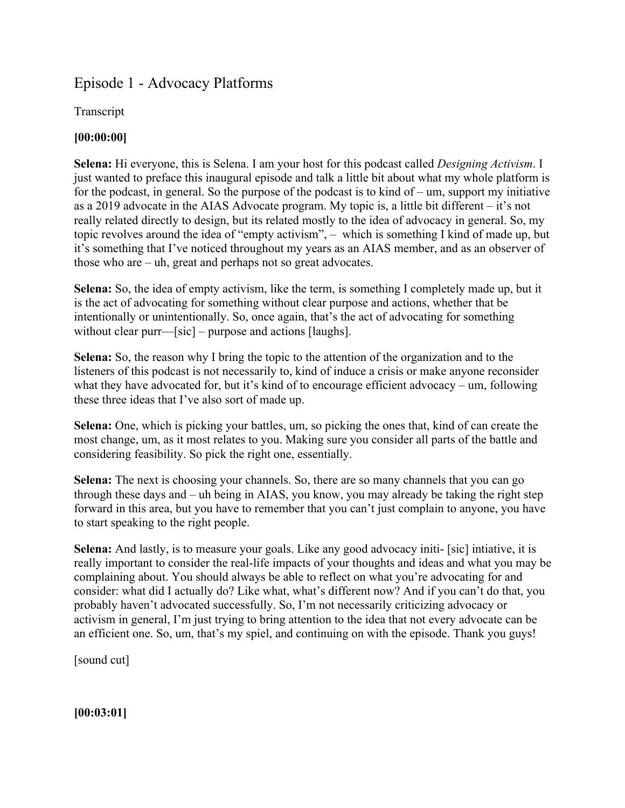# Episode 1 - Advocacy Platforms

Transcript

# **[00:00:00]**

**Selena:** Hi everyone, this is Selena. I am your host for this podcast called *Designing Activism*. I just wanted to preface this inaugural episode and talk a little bit about what my whole platform is for the podcast, in general. So the purpose of the podcast is to kind of  $-$ um, support my initiative as a 2019 advocate in the AIAS Advocate program. My topic is, a little bit different – it's not really related directly to design, but its related mostly to the idea of advocacy in general. So, my topic revolves around the idea of "empty activism", – which is something I kind of made up, but it's something that I've noticed throughout my years as an AIAS member, and as an observer of those who are – uh, great and perhaps not so great advocates.

**Selena:** So, the idea of empty activism, like the term, is something I completely made up, but it is the act of advocating for something without clear purpose and actions, whether that be intentionally or unintentionally. So, once again, that's the act of advocating for something without clear purr—[sic] – purpose and actions [laughs].

**Selena:** So, the reason why I bring the topic to the attention of the organization and to the listeners of this podcast is not necessarily to, kind of induce a crisis or make anyone reconsider what they have advocated for, but it's kind of to encourage efficient advocacy – um, following these three ideas that I've also sort of made up.

**Selena:** One, which is picking your battles, um, so picking the ones that, kind of can create the most change, um, as it most relates to you. Making sure you consider all parts of the battle and considering feasibility. So pick the right one, essentially.

**Selena:** The next is choosing your channels. So, there are so many channels that you can go through these days and – uh being in AIAS, you know, you may already be taking the right step forward in this area, but you have to remember that you can't just complain to anyone, you have to start speaking to the right people.

**Selena:** And lastly, is to measure your goals. Like any good advocacy initi- [sic] intiative, it is really important to consider the real-life impacts of your thoughts and ideas and what you may be complaining about. You should always be able to reflect on what you're advocating for and consider: what did I actually do? Like what, what's different now? And if you can't do that, you probably haven't advocated successfully. So, I'm not necessarily criticizing advocacy or activism in general, I'm just trying to bring attention to the idea that not every advocate can be an efficient one. So, um, that's my spiel, and continuing on with the episode. Thank you guys!

[sound cut]

**[00:03:01]**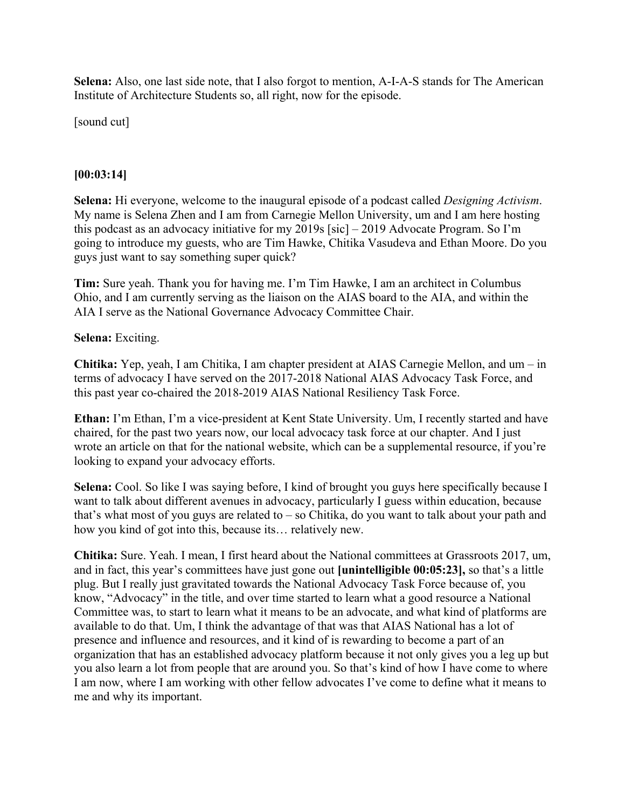**Selena:** Also, one last side note, that I also forgot to mention, A-I-A-S stands for The American Institute of Architecture Students so, all right, now for the episode.

[sound cut]

## **[00:03:14]**

**Selena:** Hi everyone, welcome to the inaugural episode of a podcast called *Designing Activism*. My name is Selena Zhen and I am from Carnegie Mellon University, um and I am here hosting this podcast as an advocacy initiative for my 2019s [sic] – 2019 Advocate Program. So I'm going to introduce my guests, who are Tim Hawke, Chitika Vasudeva and Ethan Moore. Do you guys just want to say something super quick?

**Tim:** Sure yeah. Thank you for having me. I'm Tim Hawke, I am an architect in Columbus Ohio, and I am currently serving as the liaison on the AIAS board to the AIA, and within the AIA I serve as the National Governance Advocacy Committee Chair.

#### **Selena:** Exciting.

**Chitika:** Yep, yeah, I am Chitika, I am chapter president at AIAS Carnegie Mellon, and um – in terms of advocacy I have served on the 2017-2018 National AIAS Advocacy Task Force, and this past year co-chaired the 2018-2019 AIAS National Resiliency Task Force.

**Ethan:** I'm Ethan, I'm a vice-president at Kent State University. Um, I recently started and have chaired, for the past two years now, our local advocacy task force at our chapter. And I just wrote an article on that for the national website, which can be a supplemental resource, if you're looking to expand your advocacy efforts.

**Selena:** Cool. So like I was saying before, I kind of brought you guys here specifically because I want to talk about different avenues in advocacy, particularly I guess within education, because that's what most of you guys are related to – so Chitika, do you want to talk about your path and how you kind of got into this, because its… relatively new.

**Chitika:** Sure. Yeah. I mean, I first heard about the National committees at Grassroots 2017, um, and in fact, this year's committees have just gone out **[unintelligible 00:05:23],** so that's a little plug. But I really just gravitated towards the National Advocacy Task Force because of, you know, "Advocacy" in the title, and over time started to learn what a good resource a National Committee was, to start to learn what it means to be an advocate, and what kind of platforms are available to do that. Um, I think the advantage of that was that AIAS National has a lot of presence and influence and resources, and it kind of is rewarding to become a part of an organization that has an established advocacy platform because it not only gives you a leg up but you also learn a lot from people that are around you. So that's kind of how I have come to where I am now, where I am working with other fellow advocates I've come to define what it means to me and why its important.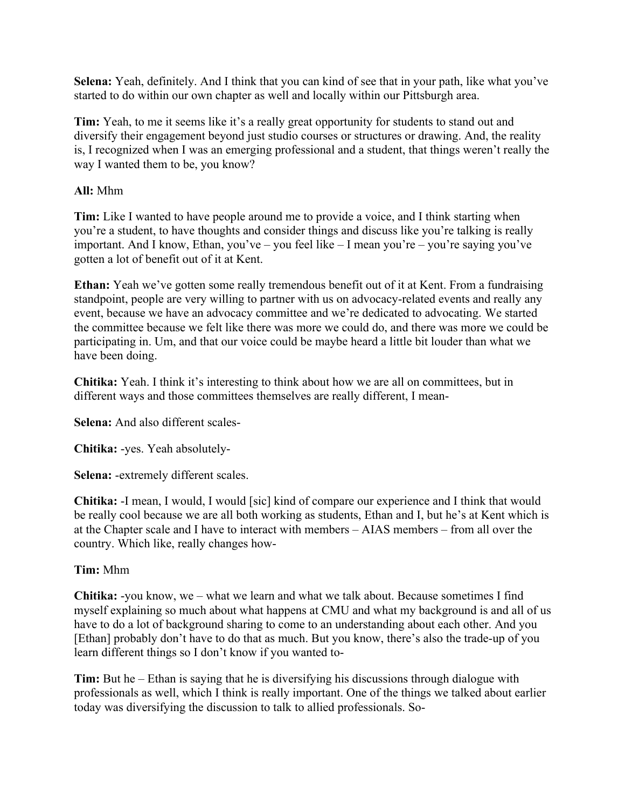**Selena:** Yeah, definitely. And I think that you can kind of see that in your path, like what you've started to do within our own chapter as well and locally within our Pittsburgh area.

**Tim:** Yeah, to me it seems like it's a really great opportunity for students to stand out and diversify their engagement beyond just studio courses or structures or drawing. And, the reality is, I recognized when I was an emerging professional and a student, that things weren't really the way I wanted them to be, you know?

#### **All:** Mhm

**Tim:** Like I wanted to have people around me to provide a voice, and I think starting when you're a student, to have thoughts and consider things and discuss like you're talking is really important. And I know, Ethan, you've – you feel like – I mean you're – you're saying you've gotten a lot of benefit out of it at Kent.

**Ethan:** Yeah we've gotten some really tremendous benefit out of it at Kent. From a fundraising standpoint, people are very willing to partner with us on advocacy-related events and really any event, because we have an advocacy committee and we're dedicated to advocating. We started the committee because we felt like there was more we could do, and there was more we could be participating in. Um, and that our voice could be maybe heard a little bit louder than what we have been doing.

**Chitika:** Yeah. I think it's interesting to think about how we are all on committees, but in different ways and those committees themselves are really different, I mean-

**Selena:** And also different scales-

**Chitika:** -yes. Yeah absolutely-

**Selena:** -extremely different scales.

**Chitika:** -I mean, I would, I would [sic] kind of compare our experience and I think that would be really cool because we are all both working as students, Ethan and I, but he's at Kent which is at the Chapter scale and I have to interact with members – AIAS members – from all over the country. Which like, really changes how-

## **Tim:** Mhm

**Chitika:** -you know, we – what we learn and what we talk about. Because sometimes I find myself explaining so much about what happens at CMU and what my background is and all of us have to do a lot of background sharing to come to an understanding about each other. And you [Ethan] probably don't have to do that as much. But you know, there's also the trade-up of you learn different things so I don't know if you wanted to-

**Tim:** But he – Ethan is saying that he is diversifying his discussions through dialogue with professionals as well, which I think is really important. One of the things we talked about earlier today was diversifying the discussion to talk to allied professionals. So-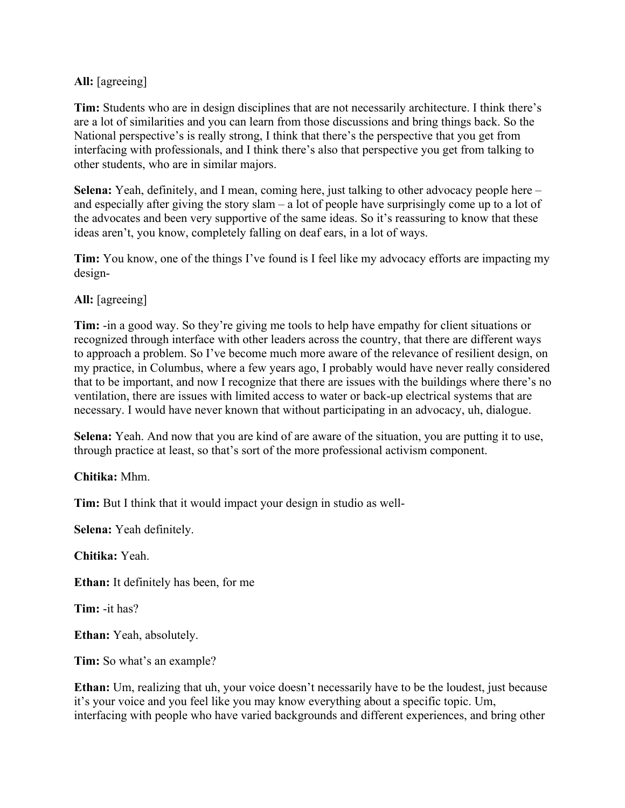#### **All:** [agreeing]

**Tim:** Students who are in design disciplines that are not necessarily architecture. I think there's are a lot of similarities and you can learn from those discussions and bring things back. So the National perspective's is really strong, I think that there's the perspective that you get from interfacing with professionals, and I think there's also that perspective you get from talking to other students, who are in similar majors.

**Selena:** Yeah, definitely, and I mean, coming here, just talking to other advocacy people here – and especially after giving the story slam – a lot of people have surprisingly come up to a lot of the advocates and been very supportive of the same ideas. So it's reassuring to know that these ideas aren't, you know, completely falling on deaf ears, in a lot of ways.

**Tim:** You know, one of the things I've found is I feel like my advocacy efforts are impacting my design-

#### **All:** [agreeing]

**Tim:** -in a good way. So they're giving me tools to help have empathy for client situations or recognized through interface with other leaders across the country, that there are different ways to approach a problem. So I've become much more aware of the relevance of resilient design, on my practice, in Columbus, where a few years ago, I probably would have never really considered that to be important, and now I recognize that there are issues with the buildings where there's no ventilation, there are issues with limited access to water or back-up electrical systems that are necessary. I would have never known that without participating in an advocacy, uh, dialogue.

**Selena:** Yeah. And now that you are kind of are aware of the situation, you are putting it to use, through practice at least, so that's sort of the more professional activism component.

**Chitika:** Mhm.

**Tim:** But I think that it would impact your design in studio as well-

**Selena:** Yeah definitely.

**Chitika:** Yeah.

**Ethan:** It definitely has been, for me

**Tim:** -it has?

**Ethan:** Yeah, absolutely.

**Tim:** So what's an example?

**Ethan:** Um, realizing that uh, your voice doesn't necessarily have to be the loudest, just because it's your voice and you feel like you may know everything about a specific topic. Um, interfacing with people who have varied backgrounds and different experiences, and bring other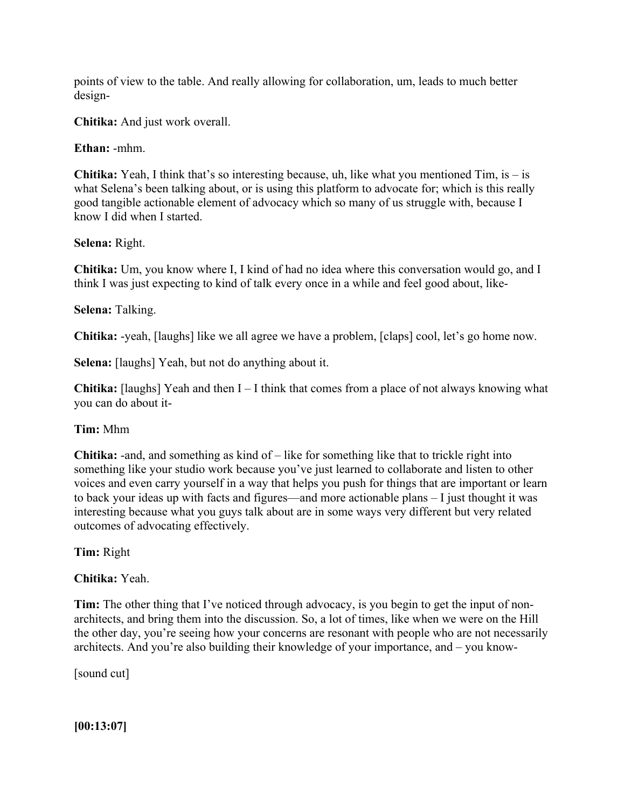points of view to the table. And really allowing for collaboration, um, leads to much better design-

**Chitika:** And just work overall.

**Ethan:** -mhm.

**Chitika:** Yeah, I think that's so interesting because, uh, like what you mentioned Tim, is – is what Selena's been talking about, or is using this platform to advocate for; which is this really good tangible actionable element of advocacy which so many of us struggle with, because I know I did when I started.

#### **Selena:** Right.

**Chitika:** Um, you know where I, I kind of had no idea where this conversation would go, and I think I was just expecting to kind of talk every once in a while and feel good about, like-

## **Selena:** Talking.

**Chitika:** -yeah, [laughs] like we all agree we have a problem, [claps] cool, let's go home now.

**Selena:** [laughs] Yeah, but not do anything about it.

**Chitika:** [laughs] Yeah and then  $I - I$  think that comes from a place of not always knowing what you can do about it-

## **Tim:** Mhm

**Chitika:** -and, and something as kind of – like for something like that to trickle right into something like your studio work because you've just learned to collaborate and listen to other voices and even carry yourself in a way that helps you push for things that are important or learn to back your ideas up with facts and figures—and more actionable plans – I just thought it was interesting because what you guys talk about are in some ways very different but very related outcomes of advocating effectively.

**Tim:** Right

**Chitika:** Yeah.

**Tim:** The other thing that I've noticed through advocacy, is you begin to get the input of nonarchitects, and bring them into the discussion. So, a lot of times, like when we were on the Hill the other day, you're seeing how your concerns are resonant with people who are not necessarily architects. And you're also building their knowledge of your importance, and – you know-

[sound cut]

**[00:13:07]**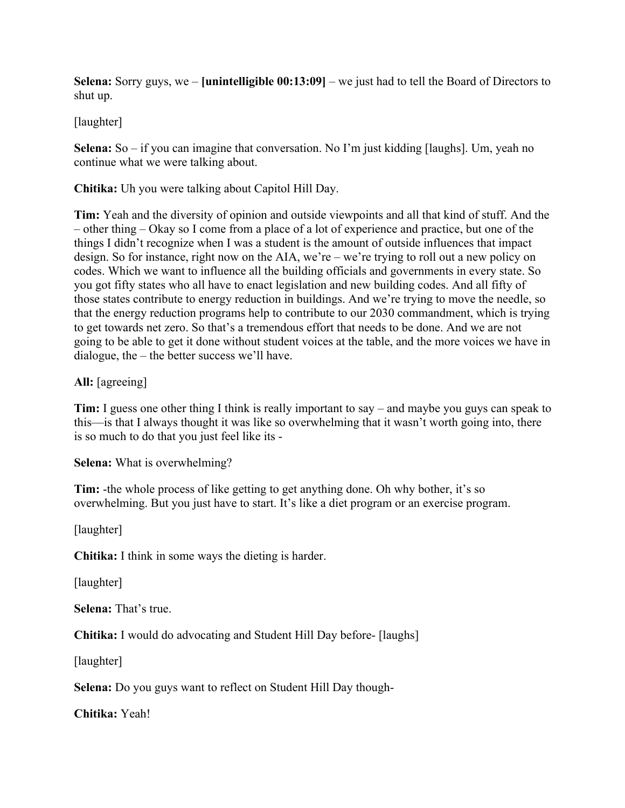**Selena:** Sorry guys, we – **[unintelligible 00:13:09]** – we just had to tell the Board of Directors to shut up.

## [laughter]

**Selena:** So – if you can imagine that conversation. No I'm just kidding [laughs]. Um, yeah no continue what we were talking about.

**Chitika:** Uh you were talking about Capitol Hill Day.

**Tim:** Yeah and the diversity of opinion and outside viewpoints and all that kind of stuff. And the – other thing – Okay so I come from a place of a lot of experience and practice, but one of the things I didn't recognize when I was a student is the amount of outside influences that impact design. So for instance, right now on the AIA, we're – we're trying to roll out a new policy on codes. Which we want to influence all the building officials and governments in every state. So you got fifty states who all have to enact legislation and new building codes. And all fifty of those states contribute to energy reduction in buildings. And we're trying to move the needle, so that the energy reduction programs help to contribute to our 2030 commandment, which is trying to get towards net zero. So that's a tremendous effort that needs to be done. And we are not going to be able to get it done without student voices at the table, and the more voices we have in dialogue, the – the better success we'll have.

**All:** [agreeing]

**Tim:** I guess one other thing I think is really important to say – and maybe you guys can speak to this—is that I always thought it was like so overwhelming that it wasn't worth going into, there is so much to do that you just feel like its -

**Selena:** What is overwhelming?

**Tim:** -the whole process of like getting to get anything done. Oh why bother, it's so overwhelming. But you just have to start. It's like a diet program or an exercise program.

[laughter]

**Chitika:** I think in some ways the dieting is harder.

[laughter]

**Selena:** That's true.

**Chitika:** I would do advocating and Student Hill Day before- [laughs]

[laughter]

**Selena:** Do you guys want to reflect on Student Hill Day though-

**Chitika:** Yeah!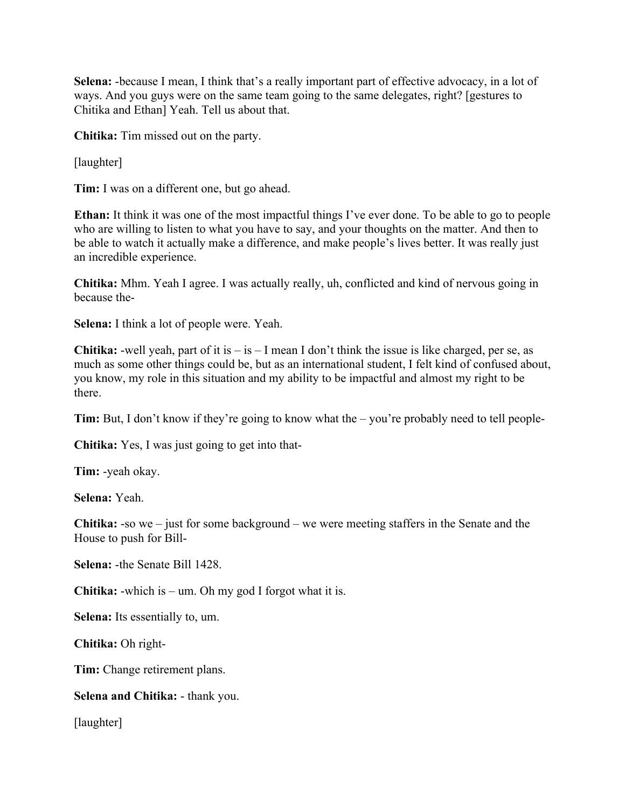**Selena:** -because I mean, I think that's a really important part of effective advocacy, in a lot of ways. And you guys were on the same team going to the same delegates, right? [gestures to Chitika and Ethan] Yeah. Tell us about that.

**Chitika:** Tim missed out on the party.

[laughter]

**Tim:** I was on a different one, but go ahead.

**Ethan:** It think it was one of the most impactful things I've ever done. To be able to go to people who are willing to listen to what you have to say, and your thoughts on the matter. And then to be able to watch it actually make a difference, and make people's lives better. It was really just an incredible experience.

**Chitika:** Mhm. Yeah I agree. I was actually really, uh, conflicted and kind of nervous going in because the-

**Selena:** I think a lot of people were. Yeah.

**Chitika:** -well yeah, part of it is  $-$  is  $-$  I mean I don't think the issue is like charged, per se, as much as some other things could be, but as an international student, I felt kind of confused about, you know, my role in this situation and my ability to be impactful and almost my right to be there.

**Tim:** But, I don't know if they're going to know what the – you're probably need to tell people-

**Chitika:** Yes, I was just going to get into that-

**Tim:** -yeah okay.

**Selena:** Yeah.

**Chitika:** -so we – just for some background – we were meeting staffers in the Senate and the House to push for Bill-

**Selena:** -the Senate Bill 1428.

**Chitika:** -which is – um. Oh my god I forgot what it is.

**Selena:** Its essentially to, um.

**Chitika:** Oh right-

**Tim:** Change retirement plans.

#### **Selena and Chitika:** - thank you.

[laughter]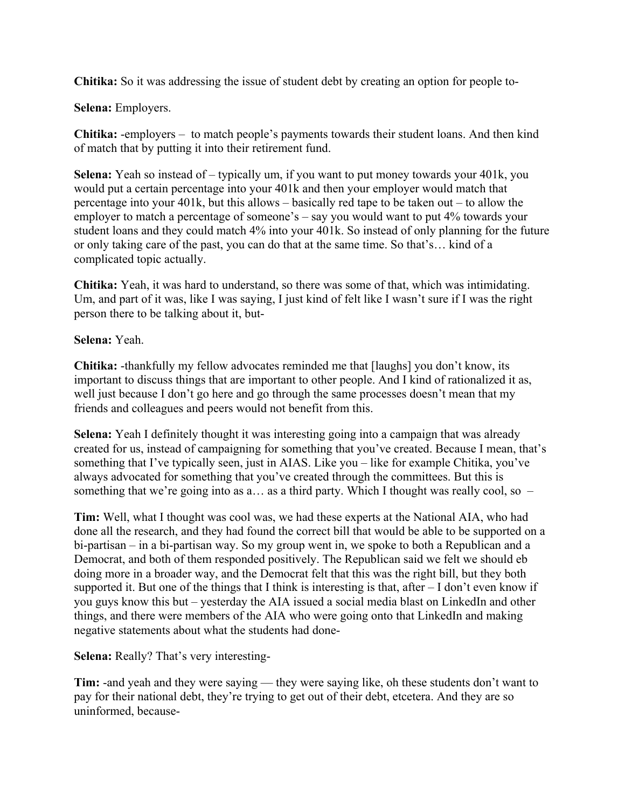**Chitika:** So it was addressing the issue of student debt by creating an option for people to-

**Selena:** Employers.

**Chitika:** -employers – to match people's payments towards their student loans. And then kind of match that by putting it into their retirement fund.

**Selena:** Yeah so instead of – typically um, if you want to put money towards your 401k, you would put a certain percentage into your 401k and then your employer would match that percentage into your 401k, but this allows – basically red tape to be taken out – to allow the employer to match a percentage of someone's – say you would want to put 4% towards your student loans and they could match 4% into your 401k. So instead of only planning for the future or only taking care of the past, you can do that at the same time. So that's… kind of a complicated topic actually.

**Chitika:** Yeah, it was hard to understand, so there was some of that, which was intimidating. Um, and part of it was, like I was saying, I just kind of felt like I wasn't sure if I was the right person there to be talking about it, but-

**Selena:** Yeah.

**Chitika:** -thankfully my fellow advocates reminded me that [laughs] you don't know, its important to discuss things that are important to other people. And I kind of rationalized it as, well just because I don't go here and go through the same processes doesn't mean that my friends and colleagues and peers would not benefit from this.

**Selena:** Yeah I definitely thought it was interesting going into a campaign that was already created for us, instead of campaigning for something that you've created. Because I mean, that's something that I've typically seen, just in AIAS. Like you – like for example Chitika, you've always advocated for something that you've created through the committees. But this is something that we're going into as a... as a third party. Which I thought was really cool, so  $-$ 

**Tim:** Well, what I thought was cool was, we had these experts at the National AIA, who had done all the research, and they had found the correct bill that would be able to be supported on a bi-partisan – in a bi-partisan way. So my group went in, we spoke to both a Republican and a Democrat, and both of them responded positively. The Republican said we felt we should eb doing more in a broader way, and the Democrat felt that this was the right bill, but they both supported it. But one of the things that I think is interesting is that, after – I don't even know if you guys know this but – yesterday the AIA issued a social media blast on LinkedIn and other things, and there were members of the AIA who were going onto that LinkedIn and making negative statements about what the students had done-

**Selena:** Really? That's very interesting-

**Tim:** -and yeah and they were saying — they were saying like, oh these students don't want to pay for their national debt, they're trying to get out of their debt, etcetera. And they are so uninformed, because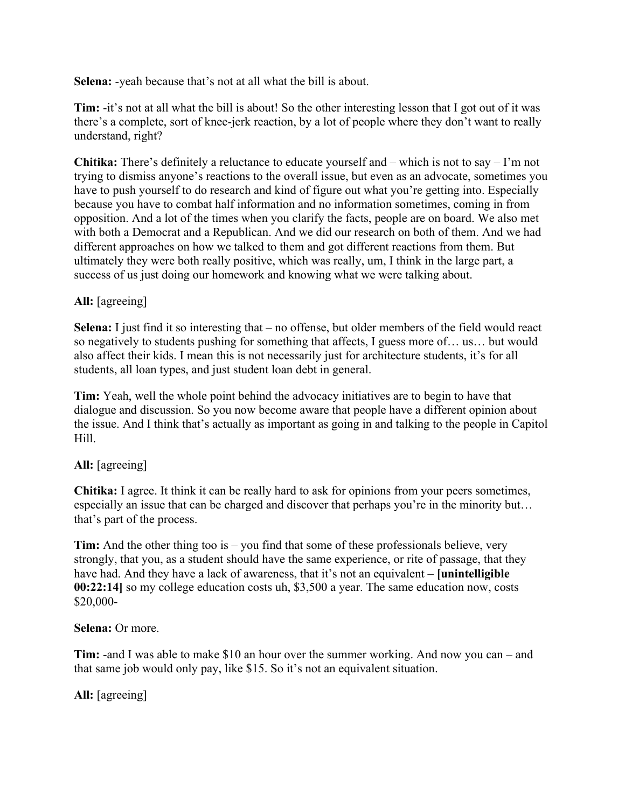**Selena:** -yeah because that's not at all what the bill is about.

**Tim:** -it's not at all what the bill is about! So the other interesting lesson that I got out of it was there's a complete, sort of knee-jerk reaction, by a lot of people where they don't want to really understand, right?

**Chitika:** There's definitely a reluctance to educate yourself and – which is not to say – I'm not trying to dismiss anyone's reactions to the overall issue, but even as an advocate, sometimes you have to push yourself to do research and kind of figure out what you're getting into. Especially because you have to combat half information and no information sometimes, coming in from opposition. And a lot of the times when you clarify the facts, people are on board. We also met with both a Democrat and a Republican. And we did our research on both of them. And we had different approaches on how we talked to them and got different reactions from them. But ultimately they were both really positive, which was really, um, I think in the large part, a success of us just doing our homework and knowing what we were talking about.

## **All:** [agreeing]

**Selena:** I just find it so interesting that – no offense, but older members of the field would react so negatively to students pushing for something that affects, I guess more of… us… but would also affect their kids. I mean this is not necessarily just for architecture students, it's for all students, all loan types, and just student loan debt in general.

**Tim:** Yeah, well the whole point behind the advocacy initiatives are to begin to have that dialogue and discussion. So you now become aware that people have a different opinion about the issue. And I think that's actually as important as going in and talking to the people in Capitol Hill.

## **All:** [agreeing]

**Chitika:** I agree. It think it can be really hard to ask for opinions from your peers sometimes, especially an issue that can be charged and discover that perhaps you're in the minority but… that's part of the process.

**Tim:** And the other thing too is – you find that some of these professionals believe, very strongly, that you, as a student should have the same experience, or rite of passage, that they have had. And they have a lack of awareness, that it's not an equivalent – **[unintelligible 00:22:14]** so my college education costs uh, \$3,500 a year. The same education now, costs \$20,000-

## **Selena:** Or more.

**Tim:** -and I was able to make \$10 an hour over the summer working. And now you can – and that same job would only pay, like \$15. So it's not an equivalent situation.

**All:** [agreeing]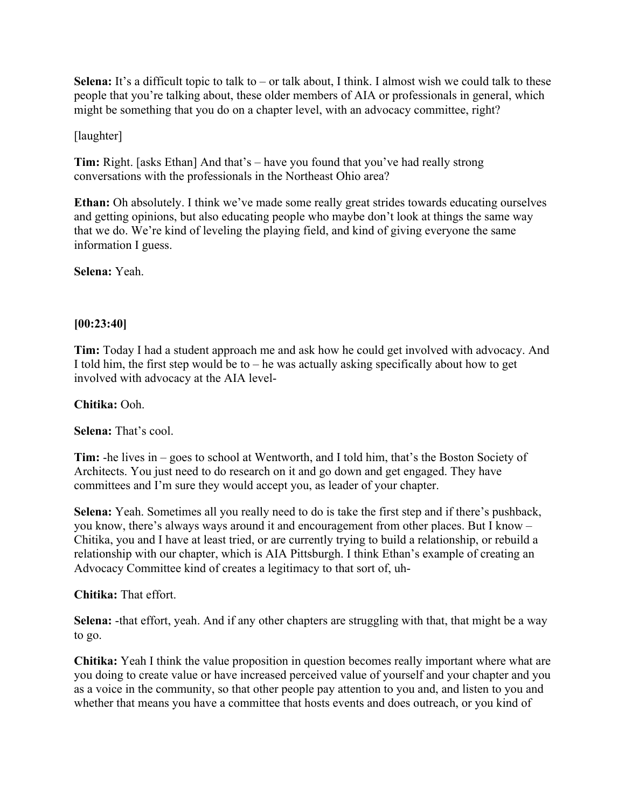**Selena:** It's a difficult topic to talk to – or talk about, I think. I almost wish we could talk to these people that you're talking about, these older members of AIA or professionals in general, which might be something that you do on a chapter level, with an advocacy committee, right?

## [laughter]

**Tim:** Right. [asks Ethan] And that's – have you found that you've had really strong conversations with the professionals in the Northeast Ohio area?

**Ethan:** Oh absolutely. I think we've made some really great strides towards educating ourselves and getting opinions, but also educating people who maybe don't look at things the same way that we do. We're kind of leveling the playing field, and kind of giving everyone the same information I guess.

**Selena:** Yeah.

## **[00:23:40]**

**Tim:** Today I had a student approach me and ask how he could get involved with advocacy. And I told him, the first step would be to  $-$  he was actually asking specifically about how to get involved with advocacy at the AIA level-

#### **Chitika:** Ooh.

**Selena:** That's cool.

**Tim:** -he lives in – goes to school at Wentworth, and I told him, that's the Boston Society of Architects. You just need to do research on it and go down and get engaged. They have committees and I'm sure they would accept you, as leader of your chapter.

**Selena:** Yeah. Sometimes all you really need to do is take the first step and if there's pushback, you know, there's always ways around it and encouragement from other places. But I know – Chitika, you and I have at least tried, or are currently trying to build a relationship, or rebuild a relationship with our chapter, which is AIA Pittsburgh. I think Ethan's example of creating an Advocacy Committee kind of creates a legitimacy to that sort of, uh-

#### **Chitika:** That effort.

**Selena:** -that effort, yeah. And if any other chapters are struggling with that, that might be a way to go.

**Chitika:** Yeah I think the value proposition in question becomes really important where what are you doing to create value or have increased perceived value of yourself and your chapter and you as a voice in the community, so that other people pay attention to you and, and listen to you and whether that means you have a committee that hosts events and does outreach, or you kind of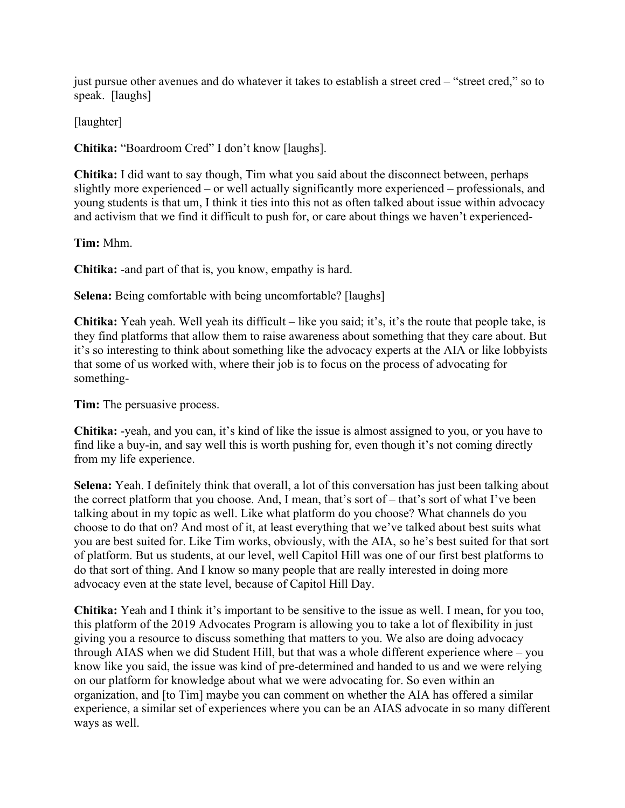just pursue other avenues and do whatever it takes to establish a street cred – "street cred," so to speak. [laughs]

[laughter]

**Chitika:** "Boardroom Cred" I don't know [laughs].

**Chitika:** I did want to say though, Tim what you said about the disconnect between, perhaps slightly more experienced – or well actually significantly more experienced – professionals, and young students is that um, I think it ties into this not as often talked about issue within advocacy and activism that we find it difficult to push for, or care about things we haven't experienced-

**Tim:** Mhm.

**Chitika:** -and part of that is, you know, empathy is hard.

**Selena:** Being comfortable with being uncomfortable? [laughs]

**Chitika:** Yeah yeah. Well yeah its difficult – like you said; it's, it's the route that people take, is they find platforms that allow them to raise awareness about something that they care about. But it's so interesting to think about something like the advocacy experts at the AIA or like lobbyists that some of us worked with, where their job is to focus on the process of advocating for something-

**Tim:** The persuasive process.

**Chitika:** -yeah, and you can, it's kind of like the issue is almost assigned to you, or you have to find like a buy-in, and say well this is worth pushing for, even though it's not coming directly from my life experience.

**Selena:** Yeah. I definitely think that overall, a lot of this conversation has just been talking about the correct platform that you choose. And, I mean, that's sort of – that's sort of what I've been talking about in my topic as well. Like what platform do you choose? What channels do you choose to do that on? And most of it, at least everything that we've talked about best suits what you are best suited for. Like Tim works, obviously, with the AIA, so he's best suited for that sort of platform. But us students, at our level, well Capitol Hill was one of our first best platforms to do that sort of thing. And I know so many people that are really interested in doing more advocacy even at the state level, because of Capitol Hill Day.

**Chitika:** Yeah and I think it's important to be sensitive to the issue as well. I mean, for you too, this platform of the 2019 Advocates Program is allowing you to take a lot of flexibility in just giving you a resource to discuss something that matters to you. We also are doing advocacy through AIAS when we did Student Hill, but that was a whole different experience where – you know like you said, the issue was kind of pre-determined and handed to us and we were relying on our platform for knowledge about what we were advocating for. So even within an organization, and [to Tim] maybe you can comment on whether the AIA has offered a similar experience, a similar set of experiences where you can be an AIAS advocate in so many different ways as well.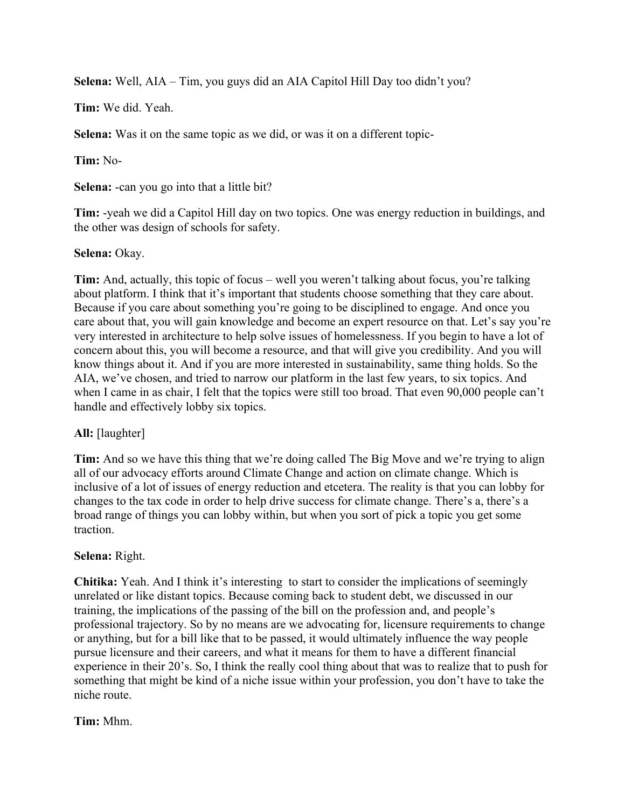**Selena:** Well, AIA – Tim, you guys did an AIA Capitol Hill Day too didn't you?

**Tim:** We did. Yeah.

**Selena:** Was it on the same topic as we did, or was it on a different topic-

**Tim:** No-

**Selena:** -can you go into that a little bit?

**Tim:** -yeah we did a Capitol Hill day on two topics. One was energy reduction in buildings, and the other was design of schools for safety.

## **Selena:** Okay.

**Tim:** And, actually, this topic of focus – well you weren't talking about focus, you're talking about platform. I think that it's important that students choose something that they care about. Because if you care about something you're going to be disciplined to engage. And once you care about that, you will gain knowledge and become an expert resource on that. Let's say you're very interested in architecture to help solve issues of homelessness. If you begin to have a lot of concern about this, you will become a resource, and that will give you credibility. And you will know things about it. And if you are more interested in sustainability, same thing holds. So the AIA, we've chosen, and tried to narrow our platform in the last few years, to six topics. And when I came in as chair, I felt that the topics were still too broad. That even 90,000 people can't handle and effectively lobby six topics.

# **All:** [laughter]

**Tim:** And so we have this thing that we're doing called The Big Move and we're trying to align all of our advocacy efforts around Climate Change and action on climate change. Which is inclusive of a lot of issues of energy reduction and etcetera. The reality is that you can lobby for changes to the tax code in order to help drive success for climate change. There's a, there's a broad range of things you can lobby within, but when you sort of pick a topic you get some traction.

## **Selena:** Right.

**Chitika:** Yeah. And I think it's interesting to start to consider the implications of seemingly unrelated or like distant topics. Because coming back to student debt, we discussed in our training, the implications of the passing of the bill on the profession and, and people's professional trajectory. So by no means are we advocating for, licensure requirements to change or anything, but for a bill like that to be passed, it would ultimately influence the way people pursue licensure and their careers, and what it means for them to have a different financial experience in their 20's. So, I think the really cool thing about that was to realize that to push for something that might be kind of a niche issue within your profession, you don't have to take the niche route.

# **Tim:** Mhm.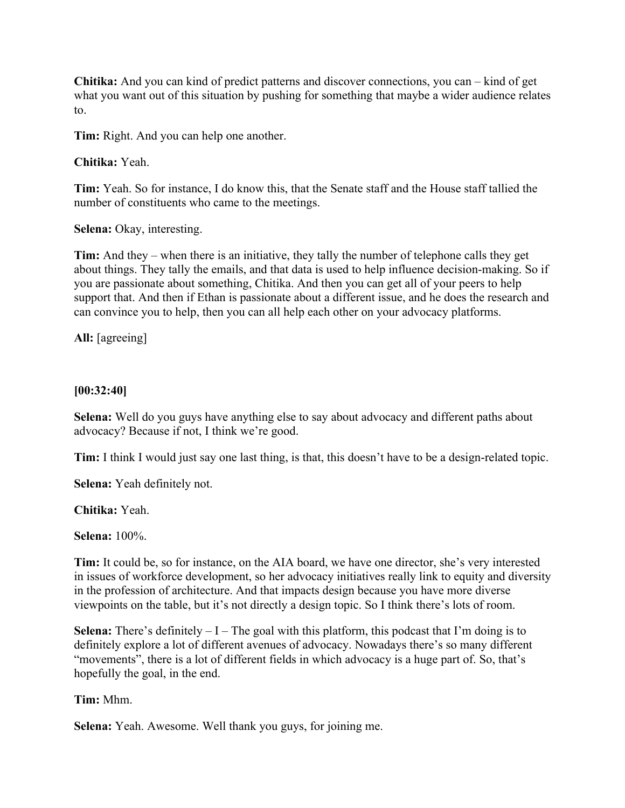**Chitika:** And you can kind of predict patterns and discover connections, you can – kind of get what you want out of this situation by pushing for something that maybe a wider audience relates to.

**Tim:** Right. And you can help one another.

#### **Chitika:** Yeah.

**Tim:** Yeah. So for instance, I do know this, that the Senate staff and the House staff tallied the number of constituents who came to the meetings.

**Selena:** Okay, interesting.

**Tim:** And they – when there is an initiative, they tally the number of telephone calls they get about things. They tally the emails, and that data is used to help influence decision-making. So if you are passionate about something, Chitika. And then you can get all of your peers to help support that. And then if Ethan is passionate about a different issue, and he does the research and can convince you to help, then you can all help each other on your advocacy platforms.

**All:** [agreeing]

#### **[00:32:40]**

**Selena:** Well do you guys have anything else to say about advocacy and different paths about advocacy? Because if not, I think we're good.

**Tim:** I think I would just say one last thing, is that, this doesn't have to be a design-related topic.

**Selena:** Yeah definitely not.

**Chitika:** Yeah.

**Selena:** 100%.

**Tim:** It could be, so for instance, on the AIA board, we have one director, she's very interested in issues of workforce development, so her advocacy initiatives really link to equity and diversity in the profession of architecture. And that impacts design because you have more diverse viewpoints on the table, but it's not directly a design topic. So I think there's lots of room.

**Selena:** There's definitely  $-I$  – The goal with this platform, this podcast that I'm doing is to definitely explore a lot of different avenues of advocacy. Nowadays there's so many different "movements", there is a lot of different fields in which advocacy is a huge part of. So, that's hopefully the goal, in the end.

**Tim:** Mhm.

**Selena:** Yeah. Awesome. Well thank you guys, for joining me.